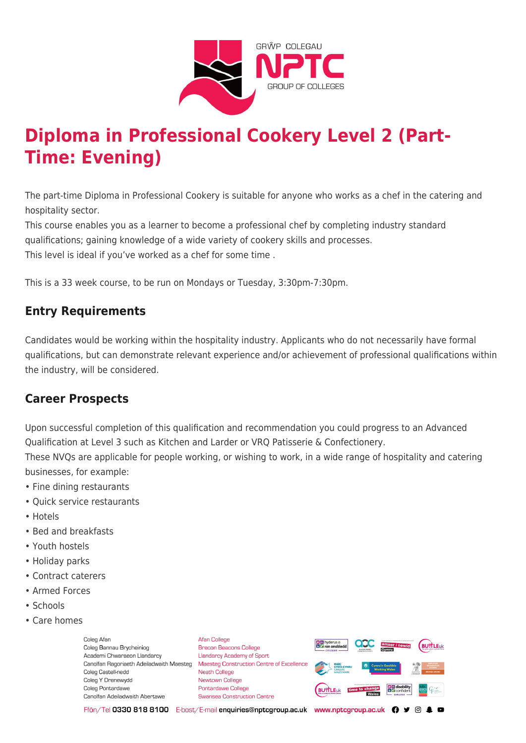

# **Diploma in Professional Cookery Level 2 (Part-Time: Evening)**

The part-time Diploma in Professional Cookery is suitable for anyone who works as a chef in the catering and hospitality sector.

This course enables you as a learner to become a professional chef by completing industry standard qualifications; gaining knowledge of a wide variety of cookery skills and processes. This level is ideal if you've worked as a chef for some time .

This is a 33 week course, to be run on Mondays or Tuesday, 3:30pm-7:30pm.

## **Entry Requirements**

Candidates would be working within the hospitality industry. Applicants who do not necessarily have formal qualifications, but can demonstrate relevant experience and/or achievement of professional qualifications within the industry, will be considered.

#### **Career Prospects**

Upon successful completion of this qualification and recommendation you could progress to an Advanced Qualification at Level 3 such as Kitchen and Larder or VRQ Patisserie & Confectionery.

These NVQs are applicable for people working, or wishing to work, in a wide range of hospitality and catering businesses, for example:

- Fine dining restaurants
- Quick service restaurants
- Hotels
- Bed and breakfasts
- Youth hostels
- Holiday parks
- Contract caterers
- Armed Forces
- Schools
- Care homes

Coleg Afar Coleg Bannau Brycheiniog Academi Chwaraeon Llandarcy Coleg Castell-nedd Coleg Y Drenewydd Coleg Pontardawe Canolfan Adeiladwaith Abertawe

**Afan College** Brecon Beacons College **Llandarcy Academy of Sport** Canolfan Ragoriaeth Adeiladwaith Maesteg Maesteg Construction Centre of Excellence Neath College Newtown College Pontardawe College Swansea Construction Centre



Ffôn/Tel 0330 818 8100 E-bost/E-mail enquiries@nptcgroup.ac.uk www.nptcgroup.ac.uk ? • © \$